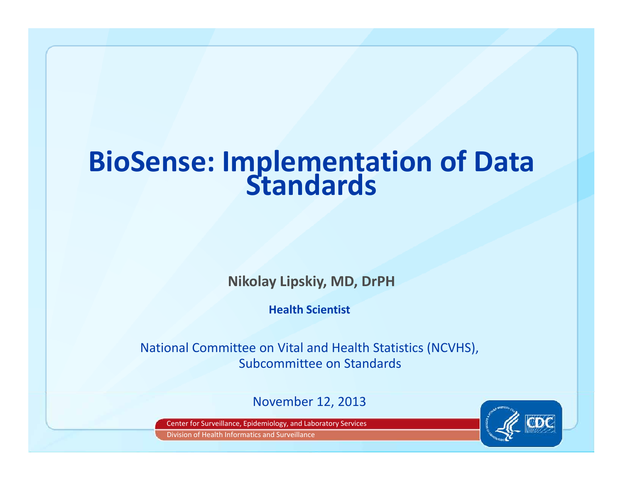# **BioSense: Implementation of Data Standards**

**Nikolay Lipskiy, MD, DrPH**

**Health Scientist**

National Committee on Vital and Health Statistics (NCVHS), Subcommittee on Standards

November 12, 2013

Center for Surveillance, Epidemiology, and Laboratory Services

Division of Health Informatics and Surveillance

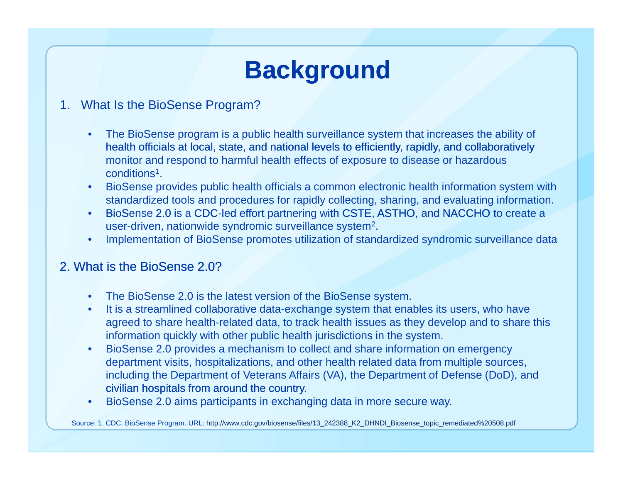# **Background**

- 1. What Is the BioSense Program?
	- • The BioSense program is a public health surveillance system that increases the ability of health officials at local, state, and national levels to efficiently, rapidly, and collaboratively monitor and respond to harmful health effects of exposure to disease or hazardous conditions1.
	- • BioSense provides public health officials a common electronic health information system with standardized tools and procedures for rapidly collecting, sharing, and evaluating information.
	- BioSense 2.0 is a CDC-led effort partnering with CSTE, ASTHO, and NACCHO to create a •user-driven, nationwide syndromic surveillance system2.
	- •Implementation of BioSense promotes utilization of standardized syndromic surveillance data

#### 2. What is the BioSense 2.0?

- •The BioSense 2.0 is the latest version of the BioSense system.
- •It is a streamlined collaborative data-exchange system that enables its users, who have agreed to share health-related data, to track health issues as they develop and to share this information quickly with other public health jurisdictions in the system.
- • BioSense 2.0 provides a mechanism to collect and share information on emergency department visits, hospitalizations, and other health related data from multiple sources, including the Department of Veterans Affairs (VA), the Department of Defense (DoD), and civilian hospitals from around the country.
- •BioSense 2.0 aims participants in exchanging data in more secure way.

Source: 1. CDC. BioSense Program. URL: http://www.cdc.gov/biosense/files/13\_242388\_K2\_DHNDI\_Biosense\_topic\_remediated%20508.pdf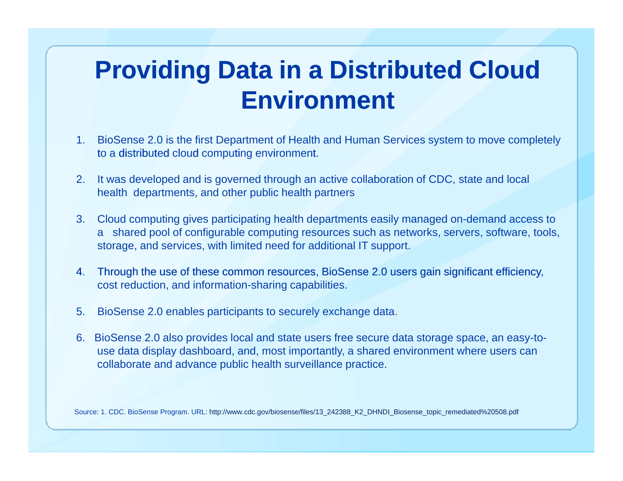# **Providing Data in a Distributed Cloud Environment**

- 1. BioSense 2.0 is the first Department of Health and Human Services system to move completely to a distributed cloud computing environment.
- 2. It was developed and is governed through an active collaboration of CDC, state and local health departments, and other public health partners
- 3. Cloud computing gives participating health departments easily managed on-demand access to a shared pool of configurable computing resources such as networks, servers, software, tools, storage, and services, with limited need for additional IT support.
- 4. Through the use of these common resources, BioSense 2.0 users gain significant efficiency, cost reduction, and information-sharing capabilities.
- 5. BioSense 2.0 enables participants to securely exchange data.
- 6. BioSense 2.0 also provides local and state users free secure data storage space, an easy-touse data display dashboard, and, most importantly, a shared environment where users can collaborate and advance public health surveillance practice.

Source: 1. CDC. BioSense Program. URL: http://www.cdc.gov/biosense/files/13\_242388\_K2\_DHNDI\_Biosense\_topic\_remediated%20508.pdf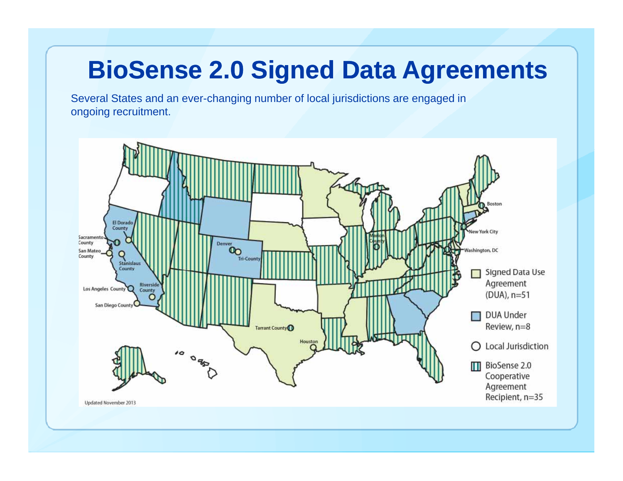### **BioSense 2.0 Signed Data Agreements**

Several States and an ever-changing number of local jurisdictions are engaged in ongoing recruitment.

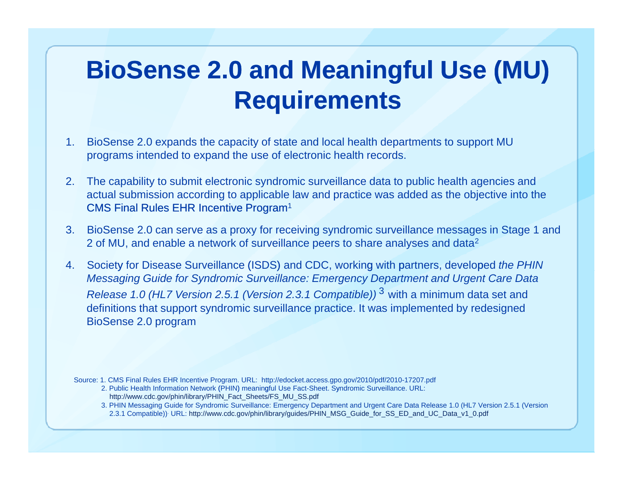# **BioSense 2.0 and Meaningful Use (MU) Requirements**

- 1. BioSense 2.0 expands the capacity of state and local health departments to support MU programs intended to expand the use of electronic health records.
- 2. The capability to submit electronic syndromic surveillance data to public health agencies and actual submission according to applicable law and practice was added as the objective into the  $CMS$  Final Rules EHR Incentive Program<sup>1</sup>
- 3. BioSense 2.0 can serve as a proxy for receiving syndromic surveillance messages in Stage 1 and 2 of MU, and enable a network of surveillance peers to share analyses and data<sup>2</sup>
- 4. Society for Disease Surveillance (ISDS) and CDC, working with partners, developed the PHIN *Messaging Guide for Syndromic Surveillance: Emergency Department and Urgent Care Data Release 1.0 (HL7 Version 2.5.1 (Version 2.3.1 Compatible))* <sup>3</sup> with a minimum data set and definitions that support syndromic surveillance practice. It was implemented by redesigned BioSense 2.0 program

Source: 1. CMS Final Rules EHR Incentive Program. URL: http://edocket.access.gpo.gov/2010/pdf/2010-17207.pdf

- 2. Public Health Information Network (PHIN) meaningful Use Fact-Sheet. Syndromic Surveillance. URL: http://www.cdc.gov/phin/library/PHIN\_Fact\_Sheets/FS\_MU\_SS.pdf
- 3. PHIN Messaging Guide for Syndromic Surveillance: Emergency Department and Urgent Care Data Release 1.0 (HL7 Version 2.5.1 (Version 2.3.1 Compatible)). URL: http://www.cdc.gov/phin/library/guides/PHIN\_MSG\_Guide\_for\_SS\_ED\_and\_UC\_Data\_v1\_0.pdf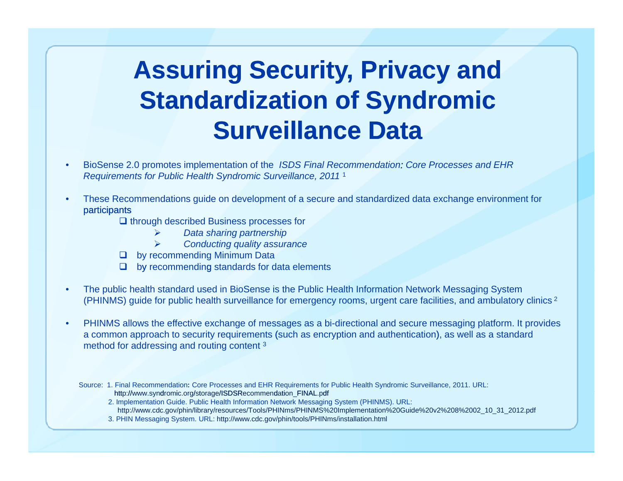### **Assuring Security, Privacy and Standardization of Syndromic Surveillance Data**

- • BioSense 2.0 promotes implementation of the *ISDS Final Recommendation: Core Processes and EHR Requirements for Public Health Syndromic Surveillance, 2011* <sup>1</sup>
- • These Recommendations guide on development of a secure and standardized data exchange environment for participants
	- $\square$  through described Business processes for
		- $\blacktriangleright$ *Data sharing partnership*
		- $\blacktriangleright$ *Conducting quality assurance*
	- **Q** by recommending Minimum Data
	- $\Box$  by recommending standards for data elements
- • The public health standard used in BioSense is the Public Health Information Network Messaging System (PHINMS) guide for public health surveillance for emergency rooms, urgent care facilities, and ambulatory clinics <sup>2</sup>
- • PHINMS allows the effective exchange of messages as a bi-directional and secure messaging platform. It provides a common approach to security requirements (such as encryption and authentication), as well as a standard method for addressing and routing content <sup>3</sup>
	- Source: 1. Final Recommendation: Core Processes and EHR Requirements for Public Health Syndromic Surveillance, 2011. URL: http://www.syndromic.org/storage/ISDSRecommendation\_FINAL.pdf
		- 2. Implementation Guide. Public Health Information Network Messaging System (PHINMS). URL:
		- http://www.cdc.gov/phin/library/resources/Tools/PHINms/PHINMS%20Implementation%20Guide%20v2%208%2002\_10\_31\_2012.pdf
		- 3. PHIN Messaging System. URL: http://www.cdc.gov/phin/tools/PHINms/installation.html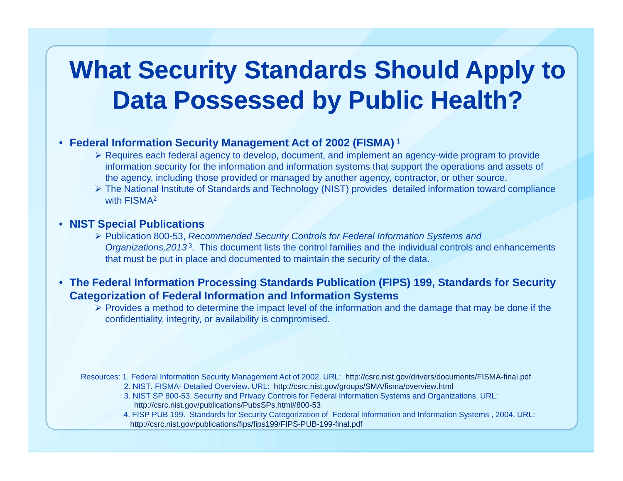### **What Security Standards Should Apply to Data Possessed by Public Health?**

#### • **Federal Information Security Management Act of 2002 (FISMA)** <sup>1</sup>

- Requires each federal agency to develop, document, and implement an agency-wide program to provide information security for the information and information systems that support the operations and assets of the agency, including those provided or managed by another agency, contractor, or other source.
- The National Institute of Standards and Technology (NIST) provides detailed information toward compliance with FISMA<sup>2</sup>

#### • **NIST Special Publications**

- Publication 800-53, *Recommended Security Controls for Federal Information Systems and Organizations,2013* <sup>3</sup>*.* This document lists the control families and the individual controls and enhancements that must be put in place and documented to maintain the security of the data.
- **The Federal Information Processing Standards Publication (FIPS) 199, Standards for Security Categorization of Federal Information and Information Systems**
	- $\triangleright$  Provides a method to determine the impact level of the information and the damage that may be done if the confidentiality, integrity, or availability is compromised.

Resources: 1. Federal Information Security Management Act of 2002. URL: http://csrc.nist.gov/drivers/documents/FISMA-final.pdf

2. NIST. FISMA- Detailed Overview. URL: http://csrc.nist.gov/groups/SMA/fisma/overview.html 3. NIST SP 800-53. Security and Privacy Controls for Federal Information Systems and Organizations. URL:

http://csrc.nist.gov/publications/PubsSPs.html#800-53

4. FISP PUB 199. Standards for Security Categorization of Federal Information and Information Systems , 2004. URL: http://csrc.nist.gov/publications/fips/fips199/FIPS-PUB-199-final.pdf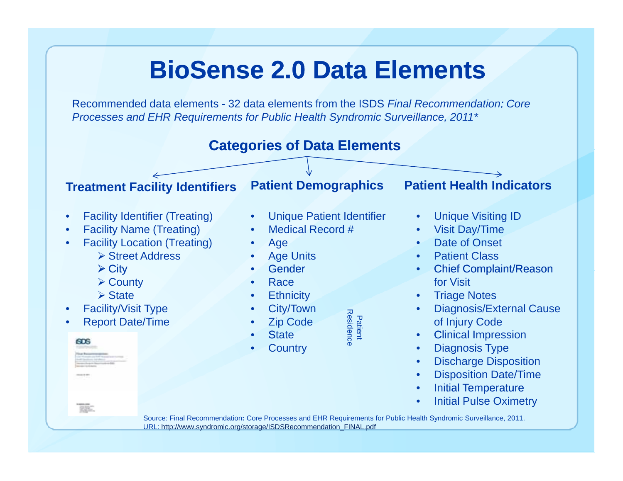#### **BioSense 2.0 Data Elements**

Recommended data elements - 32 data elements from the ISDS *Final Recommendation: Core Processes and EHR Requirements for Public Health Syndromic Surveillance, 2011\**



URL: http://www.syndromic.org/storage/ISDSRecommendation\_FINAL.pdf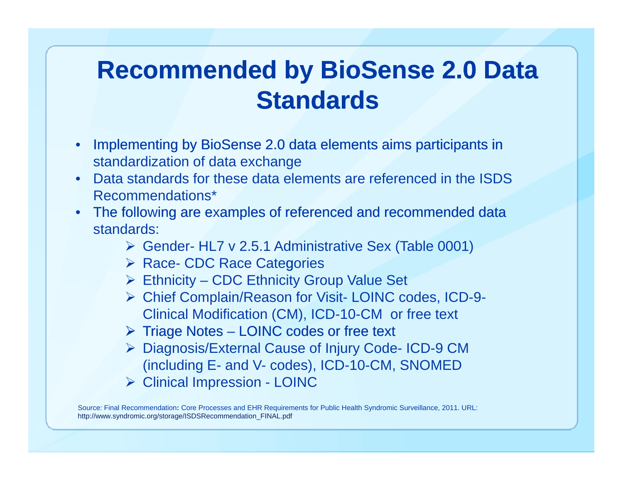### **Recommended by BioSense 2.0 Data Standards**

- • Implementing by BioSense 2.0 data elements aims participants in standardization of data exchange
- Data standards for these data elements are referenced in the ISDS Recommendations\*
- The following are examples of referenced and recommended data standards:
	- Gender- HL7 v 2.5.1 Administrative Sex (Table 0001)
	- ▶ Race- CDC Race Categories
	- Ethnicity CDC Ethnicity Group Value Set
	- Chief Complain/Reason for Visit- LOINC codes, ICD-9- Clinical Modification (CM), ICD-10-CM or free text
	- $\triangleright$  Triage Notes LOINC codes or free text
	- Diagnosis/External Cause of Injury Code- ICD-9 CM (including E- and V- codes), ICD-10-CM, SNOMED
	- **▶ Clinical Impression LOINC**

Source: Final Recommendation**:** Core Processes and EHR Requirements for Public Health Syndromic Surveillance, 2011. URL: http://www.syndromic.org/storage/ISDSRecommendation\_FINAL.pdf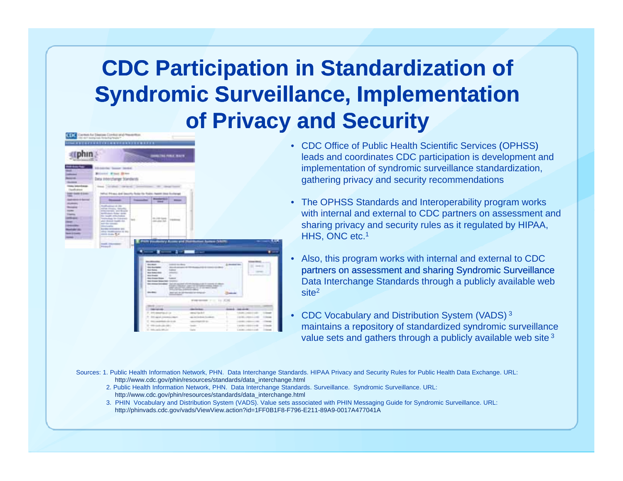#### **Syndromic Surveillance, I l t ti S d i S ill Implementation CDC Participation in Standardization of of Privacy and Security**

|                            | ------------------------------                                       |                    |                                                                                              |                                                                                       |                                         |                                                                            |
|----------------------------|----------------------------------------------------------------------|--------------------|----------------------------------------------------------------------------------------------|---------------------------------------------------------------------------------------|-----------------------------------------|----------------------------------------------------------------------------|
|                            |                                                                      |                    | LTNETHER WAIT.                                                                               |                                                                                       |                                         |                                                                            |
|                            | <b>SALES Terms Striket</b>                                           |                    |                                                                                              |                                                                                       |                                         |                                                                            |
|                            | Browne Flash Street                                                  |                    |                                                                                              |                                                                                       |                                         |                                                                            |
|                            | Data Interchange Manderds                                            |                    |                                                                                              |                                                                                       |                                         |                                                                            |
| tatus behaviliserus.       |                                                                      |                    |                                                                                              |                                                                                       |                                         |                                                                            |
| <b>Scott</b> pines         | Steel Constitute, contact                                            |                    | <b>STATE</b><br><b>CONSUMERING CONTRACTOR</b>                                                |                                                                                       |                                         |                                                                            |
| <b>AT GARD &amp; LOAN</b>  | heliusi Pitrasa dadi kasuntu Rusia itu findos Aware idasa kunisanyal |                    |                                                                                              |                                                                                       |                                         |                                                                            |
| <b>A MOST &amp; Borney</b> | <b>Beauman</b>                                                       | <b>Transporter</b> | <b>Business Co. In</b>                                                                       | $-$                                                                                   |                                         |                                                                            |
|                            | <b>Photo Productional Indian State</b>                               |                    | $-$                                                                                          |                                                                                       |                                         |                                                                            |
|                            | political chicagos, National<br>International and Board              |                    |                                                                                              |                                                                                       |                                         |                                                                            |
|                            | Antification Scient career                                           |                    |                                                                                              |                                                                                       |                                         |                                                                            |
|                            | the locates enforcement<br><b>Concision in Oderator</b> (and         | u v                | <b>BLUE GALL</b><br><b>COMMERCIAL</b>                                                        |                                                                                       |                                         |                                                                            |
|                            | and cleanar made risk.<br>and the seconds.                           |                    | mit und Art                                                                                  |                                                                                       |                                         |                                                                            |
|                            | <b><i><u>Filter-traffer</u></i></b><br>Border restraints like        |                    |                                                                                              |                                                                                       |                                         |                                                                            |
|                            | which challenges at \$12.7<br>contractor \$1.4                       |                    |                                                                                              |                                                                                       |                                         |                                                                            |
|                            |                                                                      |                    |                                                                                              |                                                                                       |                                         |                                                                            |
|                            | <b>Ford Personal</b>                                                 |                    |                                                                                              |                                                                                       | <b>Assessor (VALITY)</b>                |                                                                            |
|                            |                                                                      | ۵Ŵ                 |                                                                                              |                                                                                       |                                         |                                                                            |
|                            | <b>Products</b>                                                      |                    | $\mathbf{r} = \mathbf{r}$                                                                    |                                                                                       |                                         |                                                                            |
|                            |                                                                      |                    |                                                                                              |                                                                                       |                                         |                                                                            |
|                            |                                                                      |                    |                                                                                              |                                                                                       |                                         |                                                                            |
|                            |                                                                      |                    | <b>Britannich School</b>                                                                     |                                                                                       |                                         | --                                                                         |
|                            |                                                                      |                    | three departs.<br><b>Lodge to Herman</b>                                                     | the company's and the company's state of                                              | A moderation                            | 31 mm (2)                                                                  |
|                            |                                                                      |                    | <b>Good Association</b><br><b>Holland Color</b><br><b>State Shown</b><br><b>Subscription</b> |                                                                                       | Principal distance and end and state of |                                                                            |
|                            |                                                                      |                    | <b>WA RAVENS</b><br><b>COMMERCIAL</b><br><b>Marshall</b>                                     |                                                                                       |                                         |                                                                            |
|                            |                                                                      |                    | <b>Jack American Streets</b><br>-Summer<br><b>The Freest State Sale Territory</b>            |                                                                                       |                                         |                                                                            |
|                            |                                                                      |                    |                                                                                              | the most located for an on-standard of children and a country of which                |                                         |                                                                            |
|                            |                                                                      |                    |                                                                                              | and can be for all of the contract and                                                |                                         |                                                                            |
|                            |                                                                      |                    | <b>Southern</b><br>===                                                                       | $-0.000000$                                                                           | <b>SHAW</b>                             |                                                                            |
|                            |                                                                      |                    |                                                                                              |                                                                                       |                                         |                                                                            |
|                            |                                                                      |                    |                                                                                              |                                                                                       | Windows Print, 14 (200)                 |                                                                            |
|                            |                                                                      |                    | <b>MAR JOTT</b>                                                                              |                                                                                       |                                         | <b>PERSONAL PROPERTY</b>                                                   |
|                            |                                                                      |                    | $-100000000$<br>27. Anti-debut has clinical                                                  | ---<br>stewart lands of                                                               |                                         | <b>SHEET DESCRIPTION</b><br>10091200110                                    |
|                            |                                                                      |                    | T. 241 april construction                                                                    | age inclinedness foundered                                                            |                                         | 14941-0011-016                                                             |
|                            |                                                                      |                    | 17 Million and Printers and Art and                                                          | and that the ac-                                                                      | ٠                                       | THE REAL PROPERTY<br>$\sim$                                                |
|                            |                                                                      |                    | TO AND COURS USE CREAT                                                                       | $\frac{1}{2} \left( \frac{1}{2} \right)^2 + \frac{1}{2} \left( \frac{1}{2} \right)^2$ | ٠                                       | <b>STARTING</b><br><b>CONTRACTOR</b><br>1104001-12020-0-02<br><b>USANE</b> |

- CDC Office of Public Health Scientific Services (OPHSS) leads and coordinates CDC participation is development and implementation of syndromic surveillance standardization, gathering privacy and security recommendations
- The OPHSS Standards and Interoperability program works with internal and external to CDC partners on assessment and sharing privacy and security rules as it regulated by HIPAA, HHS, ONC etc.<sup>1</sup>
- Also, this program works with internal and external to CDC partners on assessment and sharing Syndromic Surveillance Data Interchange Standards through a publicly available web site<sup>2</sup>
- CDC Vocabulary and Distribution System (VADS)<sup>3</sup> maintains a repository of standardized syndromic surveillance value sets and gathers through a publicly available web site 3

Sources: 1. Public Health Information Network, PHN. Data Interchange Standards. HIPAA Privacy and Security Rules for Public Health Data Exchange. URL: http://www.cdc.gov/phin/resources/standards/data\_interchange.html

- 2. Public Health Information Network, PHN. Data Interchange Standards. Surveillance. Syndromic Surveillance. URL: http://www.cdc.gov/phin/resources/standards/data\_interchange.html
- 3. PHIN Vocabulary and Distribution System (VADS). Value sets associated with PHIN Messaging Guide for Syndromic Surveillance. URL: http://phinvads.cdc.gov/vads/ViewView.action?id=1FF0B1F8-F796-E211-89A9-0017A477041A